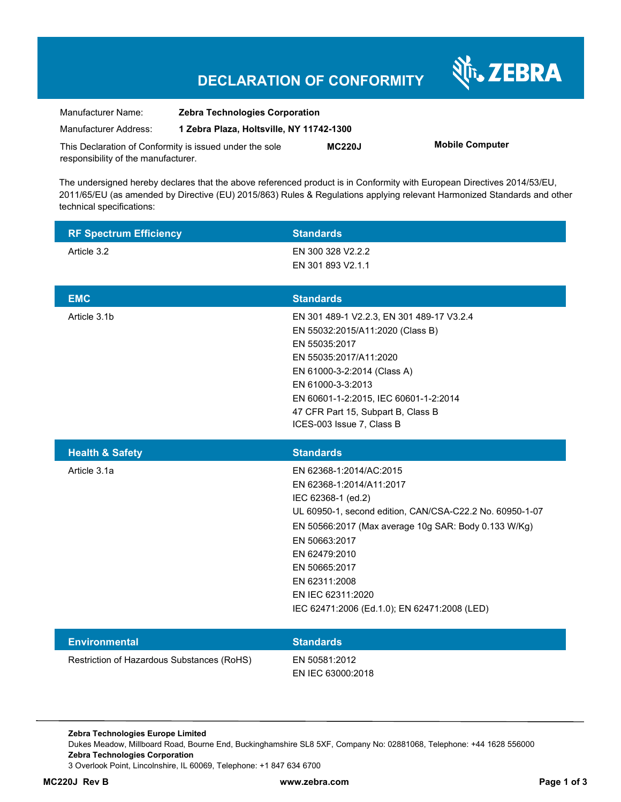# **DECLARATION OF CONFORMITY**

Nr. ZEBRA

| Manufacturer Name:                                      | <b>Zebra Technologies Corporation</b>    |               |                        |
|---------------------------------------------------------|------------------------------------------|---------------|------------------------|
| Manufacturer Address:                                   | 1 Zebra Plaza, Holtsville, NY 11742-1300 |               |                        |
| This Declaration of Conformity is issued under the sole |                                          | <b>MC220J</b> | <b>Mobile Computer</b> |
| responsibility of the manufacturer.                     |                                          |               |                        |

The undersigned hereby declares that the above referenced product is in Conformity with European Directives 2014/53/EU, 2011/65/EU (as amended by Directive (EU) 2015/863) Rules & Regulations applying relevant Harmonized Standards and other technical specifications:

| <b>RF Spectrum Efficiency</b>              | <b>Standards</b>                                                                                                                                                                                                                                                                                                                       |
|--------------------------------------------|----------------------------------------------------------------------------------------------------------------------------------------------------------------------------------------------------------------------------------------------------------------------------------------------------------------------------------------|
| Article 3.2                                | EN 300 328 V2.2.2<br>EN 301 893 V2.1.1                                                                                                                                                                                                                                                                                                 |
| <b>EMC</b>                                 | <b>Standards</b>                                                                                                                                                                                                                                                                                                                       |
| Article 3.1b                               | EN 301 489-1 V2.2.3, EN 301 489-17 V3.2.4<br>EN 55032:2015/A11:2020 (Class B)<br>EN 55035:2017<br>EN 55035:2017/A11:2020<br>EN 61000-3-2:2014 (Class A)<br>EN 61000-3-3:2013<br>EN 60601-1-2:2015, IEC 60601-1-2:2014<br>47 CFR Part 15, Subpart B, Class B<br>ICES-003 Issue 7, Class B                                               |
| <b>Health &amp; Safety</b>                 | <b>Standards</b>                                                                                                                                                                                                                                                                                                                       |
| Article 3.1a                               | EN 62368-1:2014/AC:2015<br>EN 62368-1:2014/A11:2017<br>IEC 62368-1 (ed.2)<br>UL 60950-1, second edition, CAN/CSA-C22.2 No. 60950-1-07<br>EN 50566:2017 (Max average 10g SAR: Body 0.133 W/Kg)<br>EN 50663:2017<br>EN 62479:2010<br>EN 50665:2017<br>EN 62311:2008<br>EN IEC 62311:2020<br>IEC 62471:2006 (Ed.1.0); EN 62471:2008 (LED) |
| <b>Environmental</b>                       | <b>Standards</b>                                                                                                                                                                                                                                                                                                                       |
| Restriction of Hazardous Substances (RoHS) | EN 50581:2012<br>EN IEC 63000:2018                                                                                                                                                                                                                                                                                                     |

**Zebra Technologies Europe Limited**  Dukes Meadow, Millboard Road, Bourne End, Buckinghamshire SL8 5XF, Company No: 02881068, Telephone: +44 1628 556000 **Zebra Technologies Corporation**  3 Overlook Point, Lincolnshire, IL 60069, Telephone: +1 847 634 6700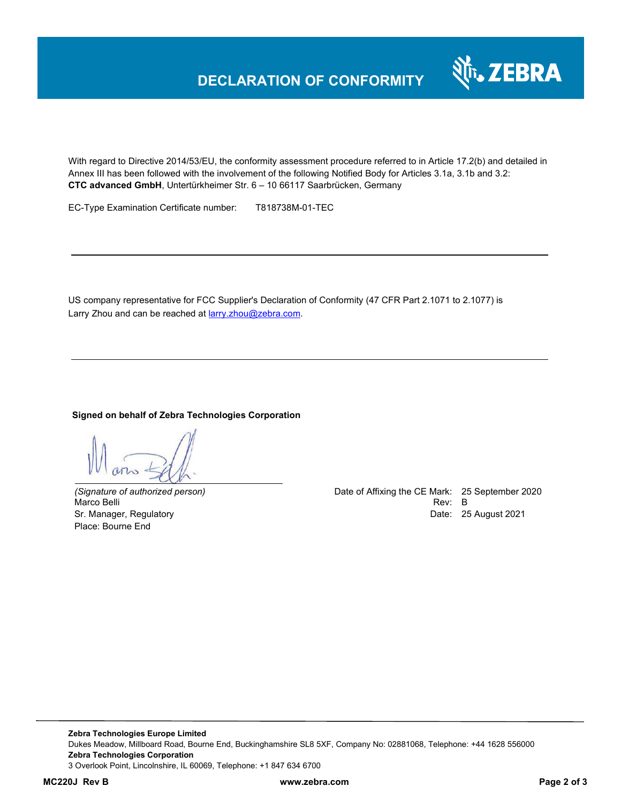

With regard to Directive 2014/53/EU, the conformity assessment procedure referred to in Article 17.2(b) and detailed in Annex III has been followed with the involvement of the following Notified Body for Articles 3.1a, 3.1b and 3.2: **CTC advanced GmbH**, Untertürkheimer Str. 6 – 10 66117 Saarbrücken, Germany

EC-Type Examination Certificate number: T818738M-01-TEC

US company representative for FCC Supplier's Declaration of Conformity (47 CFR Part 2.1071 to 2.1077) is Larry Zhou and can be reached at **larry.zhou@zebra.com**.

### **Signed on behalf of Zebra Technologies Corporation**

Place: Bourne End

*(Signature of authorized person)* Date of Affixing the CE Mark: 25 September 2020 Marco Belli Rev: B Sr. Manager, Regulatory **Date: 25 August 2021**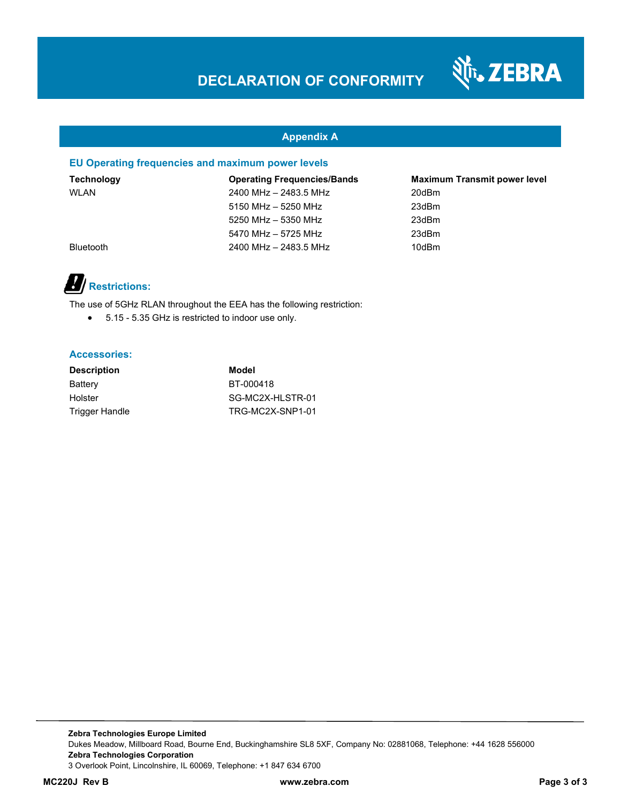

## **Appendix A**

### **EU Operating frequencies and maximum power levels**

| <b>Technology</b> | <b>Operating Frequencies/Bands</b> | <b>Maximum Transmit power level</b> |
|-------------------|------------------------------------|-------------------------------------|
| WLAN              | 2400 MHz - 2483.5 MHz              | 20dBm                               |
|                   | 5150 MHz - 5250 MHz                | 23dBm                               |
|                   | 5250 MHz - 5350 MHz                | 23dBm                               |
|                   | 5470 MHz - 5725 MHz                | 23dBm                               |
| <b>Bluetooth</b>  | 2400 MHz - 2483.5 MHz              | 10dBm                               |



The use of 5GHz RLAN throughout the EEA has the following restriction:

5.15 - 5.35 GHz is restricted to indoor use only.

#### **Accessories:**

| Description    | Model            |
|----------------|------------------|
| Battery        | BT-000418        |
| Holster        | SG-MC2X-HLSTR-01 |
| Trigger Handle | TRG-MC2X-SNP1-01 |

**Zebra Technologies Europe Limited**  Dukes Meadow, Millboard Road, Bourne End, Buckinghamshire SL8 5XF, Company No: 02881068, Telephone: +44 1628 556000 **Zebra Technologies Corporation**  3 Overlook Point, Lincolnshire, IL 60069, Telephone: +1 847 634 6700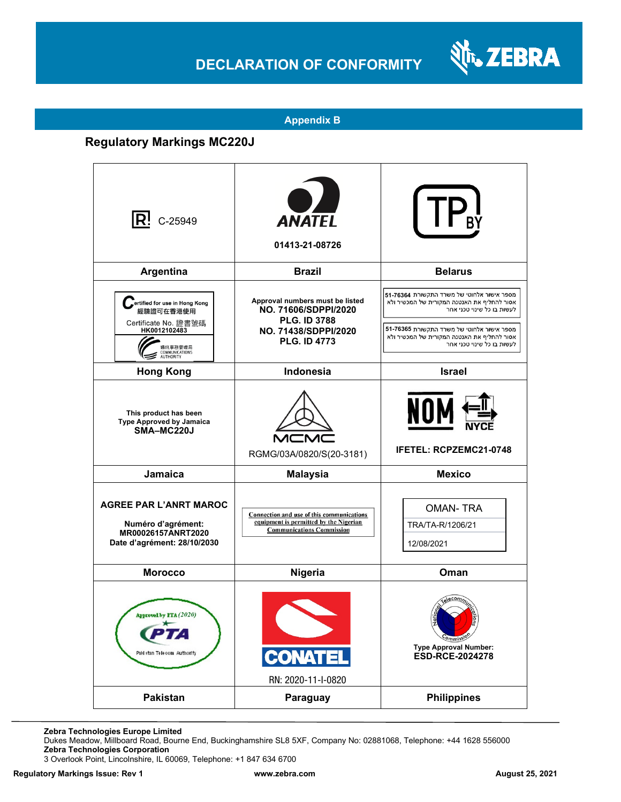# **DECLARATION OF CONFORMITY**



### **Appendix B**

## **Regulatory Markings MC220J**

| $IR!$ C-25949                                                                                                                      | <b>ANATEL</b><br>01413-21-08726                                                                                               |                                                                                                                                                                                                                                                    |
|------------------------------------------------------------------------------------------------------------------------------------|-------------------------------------------------------------------------------------------------------------------------------|----------------------------------------------------------------------------------------------------------------------------------------------------------------------------------------------------------------------------------------------------|
| Argentina                                                                                                                          | <b>Brazil</b>                                                                                                                 | <b>Belarus</b>                                                                                                                                                                                                                                     |
| ertified for use in Hong Kong<br>經驗證可在香港使用<br>Certificate No. 證書號碼<br>HK0012102483<br>訊事務管理局<br><b>COMMUNICATIONS</b><br>AUTHORITY | Approval numbers must be listed<br>NO. 71606/SDPPI/2020<br><b>PLG. ID 3788</b><br>NO. 71438/SDPPI/2020<br><b>PLG. ID 4773</b> | מספר אישור אלחוטי של משרד התקשורת 51-76364<br>אסור להחליף את האנטנה המקורית של המכשיר ולא<br>לעשות בו כל שינוי טכני אחר<br>מספר אישור אלחוטי של משרד התקשורת 76365-51<br>אסור להחליף את האנטנה המקורית של המכשיר ולא<br>לעשות בו כל שינוי טכני אחר |
| <b>Hong Kong</b>                                                                                                                   | Indonesia                                                                                                                     | <b>Israel</b>                                                                                                                                                                                                                                      |
| This product has been<br><b>Type Approved by Jamaica</b><br>SMA-MC220J                                                             | RGMG/03A/0820/S(20-3181)                                                                                                      | NOM<br>IFETEL: RCPZEMC21-0748                                                                                                                                                                                                                      |
| Jamaica                                                                                                                            | <b>Malaysia</b>                                                                                                               | <b>Mexico</b>                                                                                                                                                                                                                                      |
| <b>AGREE PAR L'ANRT MAROC</b><br>Numéro d'agrément:<br>MR00026157ANRT2020<br>Date d'agrément: 28/10/2030                           | Connection and use of this communications<br>equipment is permitted by the Nigerian<br><b>Communications Commission</b>       | <b>OMAN-TRA</b><br>TRA/TA-R/1206/21<br>12/08/2021                                                                                                                                                                                                  |
| <b>Morocco</b>                                                                                                                     | <b>Nigeria</b>                                                                                                                | Oman                                                                                                                                                                                                                                               |
| Approved by FTA (2020)<br>Paki stan Telecom Authority                                                                              | <b>CONATEL</b><br>RN: 2020-11-I-0820                                                                                          | 뮏<br>Commiss <sup>I</sup><br><b>Type Approval Number:</b><br>ESD-RCE-2024278                                                                                                                                                                       |
| Pakistan                                                                                                                           | Paraguay                                                                                                                      | <b>Philippines</b>                                                                                                                                                                                                                                 |

**Zebra Technologies Europe Limited**

Dukes Meadow, Millboard Road, Bourne End, Buckinghamshire SL8 5XF, Company No: 02881068, Telephone: +44 1628 556000 **Zebra Technologies Corporation** 

3 Overlook Point, Lincolnshire, IL 60069, Telephone: +1 847 634 6700